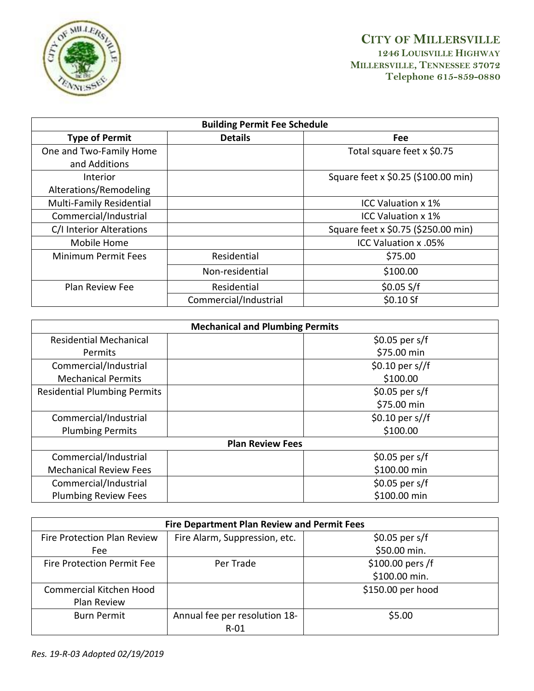

| <b>Building Permit Fee Schedule</b> |                       |                                     |  |  |
|-------------------------------------|-----------------------|-------------------------------------|--|--|
| <b>Type of Permit</b>               | <b>Details</b>        | Fee                                 |  |  |
| One and Two-Family Home             |                       | Total square feet x \$0.75          |  |  |
| and Additions                       |                       |                                     |  |  |
| Interior                            |                       | Square feet x \$0.25 (\$100.00 min) |  |  |
| Alterations/Remodeling              |                       |                                     |  |  |
| Multi-Family Residential            |                       | <b>ICC Valuation x 1%</b>           |  |  |
| Commercial/Industrial               |                       | <b>ICC Valuation x 1%</b>           |  |  |
| C/I Interior Alterations            |                       | Square feet x \$0.75 (\$250.00 min) |  |  |
| Mobile Home                         |                       | ICC Valuation x .05%                |  |  |
| <b>Minimum Permit Fees</b>          | Residential           | \$75.00                             |  |  |
|                                     | Non-residential       | \$100.00                            |  |  |
| <b>Plan Review Fee</b>              | Residential           | \$0.05 S/f                          |  |  |
|                                     | Commercial/Industrial | \$0.10 Sf                           |  |  |

| <b>Mechanical and Plumbing Permits</b> |                    |  |  |  |
|----------------------------------------|--------------------|--|--|--|
| <b>Residential Mechanical</b>          | $$0.05$ per s/f    |  |  |  |
| <b>Permits</b>                         | \$75.00 min        |  |  |  |
| Commercial/Industrial                  | \$0.10 per $s$ //f |  |  |  |
| <b>Mechanical Permits</b>              | \$100.00           |  |  |  |
| <b>Residential Plumbing Permits</b>    | $$0.05$ per s/f    |  |  |  |
|                                        | \$75.00 min        |  |  |  |
| Commercial/Industrial                  | \$0.10 per $s$ //f |  |  |  |
| <b>Plumbing Permits</b>                | \$100.00           |  |  |  |
| <b>Plan Review Fees</b>                |                    |  |  |  |
| Commercial/Industrial                  | $$0.05$ per s/f    |  |  |  |
| <b>Mechanical Review Fees</b>          | \$100.00 min       |  |  |  |
| Commercial/Industrial                  | $$0.05$ per s/f    |  |  |  |
| <b>Plumbing Review Fees</b>            | \$100.00 min       |  |  |  |

| <b>Fire Department Plan Review and Permit Fees</b> |                               |                   |  |  |
|----------------------------------------------------|-------------------------------|-------------------|--|--|
| Fire Protection Plan Review                        | Fire Alarm, Suppression, etc. | $$0.05$ per s/f   |  |  |
| Fee                                                |                               | \$50.00 min.      |  |  |
| Fire Protection Permit Fee                         | Per Trade                     | \$100.00 pers /f  |  |  |
|                                                    |                               | \$100.00 min.     |  |  |
| Commercial Kitchen Hood                            |                               | \$150.00 per hood |  |  |
| Plan Review                                        |                               |                   |  |  |
| <b>Burn Permit</b>                                 | Annual fee per resolution 18- | \$5.00            |  |  |
|                                                    | R-01                          |                   |  |  |